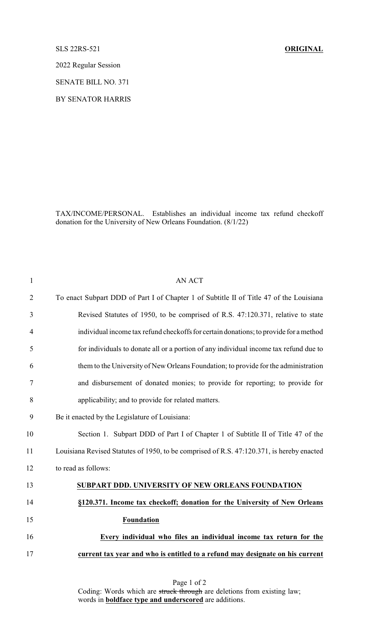## SLS 22RS-521 **ORIGINAL**

2022 Regular Session

SENATE BILL NO. 371

BY SENATOR HARRIS

TAX/INCOME/PERSONAL. Establishes an individual income tax refund checkoff donation for the University of New Orleans Foundation. (8/1/22)

| $\mathbf{1}$   | <b>AN ACT</b>                                                                             |
|----------------|-------------------------------------------------------------------------------------------|
| $\overline{2}$ | To enact Subpart DDD of Part I of Chapter 1 of Subtitle II of Title 47 of the Louisiana   |
| 3              | Revised Statutes of 1950, to be comprised of R.S. 47:120.371, relative to state           |
| $\overline{4}$ | individual income tax refund checkoffs for certain donations; to provide for a method     |
| 5              | for individuals to donate all or a portion of any individual income tax refund due to     |
| 6              | them to the University of New Orleans Foundation; to provide for the administration       |
| $\tau$         | and disbursement of donated monies; to provide for reporting; to provide for              |
| 8              | applicability; and to provide for related matters.                                        |
| 9              | Be it enacted by the Legislature of Louisiana:                                            |
| 10             | Section 1. Subpart DDD of Part I of Chapter 1 of Subtitle II of Title 47 of the           |
| 11             | Louisiana Revised Statutes of 1950, to be comprised of R.S. 47:120.371, is hereby enacted |
| 12             | to read as follows:                                                                       |
| 13             | SUBPART DDD. UNIVERSITY OF NEW ORLEANS FOUNDATION                                         |
| 14             | §120.371. Income tax checkoff; donation for the University of New Orleans                 |
| 15             | <b>Foundation</b>                                                                         |
| 16             | Every individual who files an individual income tax return for the                        |
| 17             | current tax year and who is entitled to a refund may designate on his current             |
|                |                                                                                           |

Page 1 of 2 Coding: Words which are struck through are deletions from existing law; words in **boldface type and underscored** are additions.